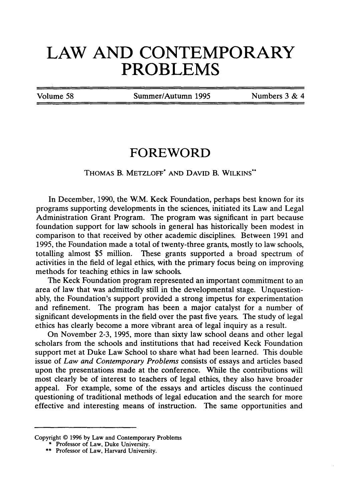## **LAW AND CONTEMPORARY PROBLEMS**

Volume **58** Summer/Autumn **1995** Numbers **3 &** 4

## **FOREWORD**

## THOMAS B. METZLOFF\* **AND** DAVID B. WILKINS"

In December, 1990, the W.M. Keck Foundation, perhaps best known for its programs supporting developments in the sciences, initiated its Law and Legal Administration Grant Program. The program was significant in part because foundation support for law schools in general has historically been modest in comparison to that received by other academic disciplines. Between 1991 and 1995, the Foundation made a total of twenty-three grants, mostly to law schools, totalling almost \$5 million. These grants supported a broad spectrum of activities in the field of legal ethics, with the primary focus being on improving methods for teaching ethics in law schools.

The Keck Foundation program represented an important commitment to an area of law that was admittedly still in the developmental stage. Unquestionably, the Foundation's support provided a strong impetus for experimentation and refinement. The program has been a major catalyst for a number of significant developments in the field over the past five years. The study of legal ethics has clearly become a more vibrant area of legal inquiry as a result.

On November 2-3, 1995, more than sixty law school deans and other legal scholars from the schools and institutions that had received Keck Foundation support met at Duke Law School to share what had been learned. This double issue of *Law and Contemporary Problems* consists of essays and articles based upon the presentations made at the conference. While the contributions will most clearly be of interest to teachers of legal ethics, they also have broader appeal. For example, some of the essays and articles discuss the continued questioning of traditional methods of legal education and the search for more effective and interesting means of instruction. The same opportunities and

Copyright © 1996 by Law and Contemporary Problems

<sup>\*</sup> Professor of Law, Duke University.

<sup>\*\*</sup> Professor of Law, Harvard University.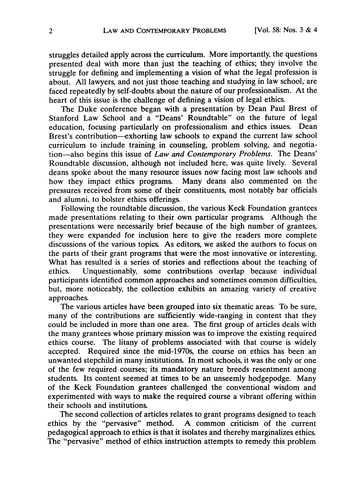struggles detailed apply across the curriculum. More importantly, the questions presented deal with more than just the teaching of ethics; they involve the struggle for defining and implementing a vision of what the legal profession is about. All lawyers, and not just those teaching and studying in law school, are faced repeatedly by self-doubts about the nature of our professionalism. At the heart of this issue is the challenge of defining a vision of legal ethics.

The Duke conference began with a presentation by Dean Paul Brest of Stanford Law School and a "Deans' Roundtable" on the future of legal education, focusing particularly on professionalism and ethics issues. Dean Brest's contribution-exhorting law schools to expand the current law school curriculum to include training in counseling, problem solving, and negotiation-also begins this issue of *Law and Contemporary Problems.* The Deans' Roundtable discussion, although not included here, was quite lively. Several deans spoke about the many resource issues now facing most law schools and how they impact ethics programs. Many deans also commented on the pressures received from some of their constituents, most notably bar officials and alumni, to bolster ethics offerings.

Following the roundtable discussion, the various Keck Foundation grantees made presentations relating to their own particular programs. Although the presentations were necessarily brief because of the high number of grantees, they were expanded for inclusion here to give the readers more complete discussions of the various topics. As editors, we asked the authors to focus on the parts of their grant programs that were the most innovative or interesting. What has resulted is a series of stories and reflections about the teaching of ethics. Unquestionably, some contributions overlap because individual participants identified common approaches and sometimes common difficulties, but, more noticeably, the collection exhibits an amazing variety of creative approaches.

The various articles have been grouped into six thematic areas. To be sure, many of the contributions are sufficiently wide-ranging in content that they could be included in more than one area. The first group of articles deals with the many grantees whose primary mission was to improve the existing required ethics course. The litany of problems associated with that course is widely accepted. Required since the mid-1970s, the course on ethics has been an unwanted stepchild in many institutions. In most schools, it was the only or one of the few required courses; its mandatory nature breeds resentment among students. Its content seemed at times to be an unseemly hodgepodge. Many of the Keck Foundation grantees challenged the conventional wisdom and experimented with ways to make the required course a vibrant offering within their schools and institutions.

The second collection of articles relates to grant programs designed to teach ethics by the "pervasive" method. A common criticism of the current pedagogical approach to ethics is that it isolates and thereby marginalizes ethics. The "pervasive" method of ethics instruction attempts to remedy this problem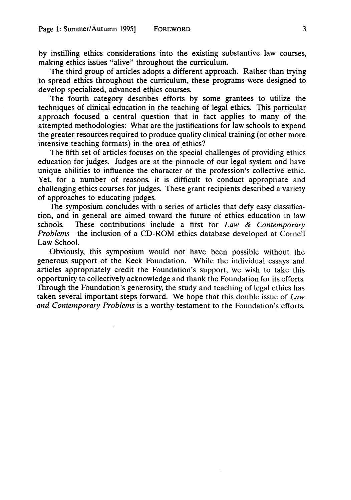by instilling ethics considerations into the existing substantive law courses, making ethics issues "alive" throughout the curriculum.

The third group of articles adopts a different approach. Rather than trying to spread ethics throughout the curriculum, these programs were designed to develop specialized, advanced ethics courses.

The fourth category describes efforts by some grantees to utilize the techniques of clinical education in the teaching of legal ethics. This particular approach focused a central question that in fact applies to many of the attempted methodologies: What are the justifications for law schools to expend the greater resources required to produce quality clinical training (or other more intensive teaching formats) in the area of ethics?

The fifth set of articles focuses on the special challenges of providing ethics education for judges. Judges are at the pinnacle of our legal system and have unique abilities to influence the character of the profession's collective ethic. Yet, for a number of reasons, it is difficult to conduct appropriate and challenging ethics courses for judges. These grant recipients described a variety of approaches to educating judges.

The symposium concludes with a series of articles that defy easy classification, and in general are aimed toward the future of ethics education in law schools. These contributions include a first for *Law & Contemporary Problems-the* inclusion of a CD-ROM ethics database developed at Cornell Law School.

Obviously, this symposium would not have been possible without the generous support of the Keck Foundation. While the individual essays and articles appropriately credit the Foundation's support, we wish to take this opportunity to collectively acknowledge and thank the Foundation for its efforts. Through the Foundation's generosity, the study and teaching of legal ethics has taken several important steps forward. We hope that this double issue of *Law and Contemporary Problems* is a worthy testament to the Foundation's efforts.